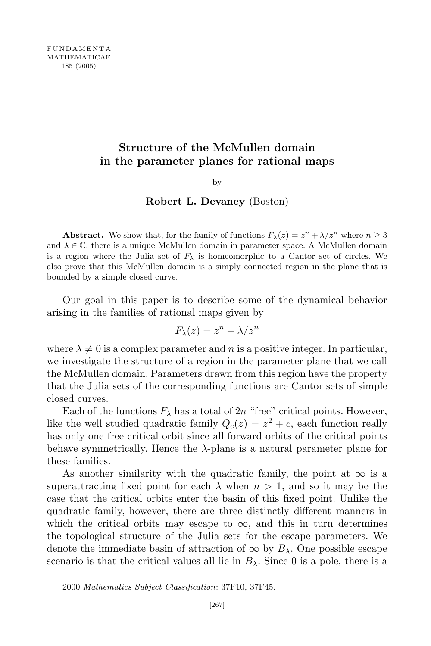## Structure of the McMullen domain in the parameter planes for rational maps

by

## Robert L. Devaney (Boston)

**Abstract.** We show that, for the family of functions  $F_{\lambda}(z) = z^{n} + \lambda/z^{n}$  where  $n \geq 3$ and  $\lambda \in \mathbb{C}$ , there is a unique McMullen domain in parameter space. A McMullen domain is a region where the Julia set of  $F_{\lambda}$  is homeomorphic to a Cantor set of circles. We also prove that this McMullen domain is a simply connected region in the plane that is bounded by a simple closed curve.

Our goal in this paper is to describe some of the dynamical behavior arising in the families of rational maps given by

$$
F_{\lambda}(z) = z^n + \lambda/z^n
$$

where  $\lambda \neq 0$  is a complex parameter and n is a positive integer. In particular, we investigate the structure of a region in the parameter plane that we call the McMullen domain. Parameters drawn from this region have the property that the Julia sets of the corresponding functions are Cantor sets of simple closed curves.

Each of the functions  $F_{\lambda}$  has a total of 2n "free" critical points. However, like the well studied quadratic family  $Q_c(z) = z^2 + c$ , each function really has only one free critical orbit since all forward orbits of the critical points behave symmetrically. Hence the  $\lambda$ -plane is a natural parameter plane for these families.

As another similarity with the quadratic family, the point at  $\infty$  is a superattracting fixed point for each  $\lambda$  when  $n > 1$ , and so it may be the case that the critical orbits enter the basin of this fixed point. Unlike the quadratic family, however, there are three distinctly different manners in which the critical orbits may escape to  $\infty$ , and this in turn determines the topological structure of the Julia sets for the escape parameters. We denote the immediate basin of attraction of  $\infty$  by  $B_{\lambda}$ . One possible escape scenario is that the critical values all lie in  $B_\lambda$ . Since 0 is a pole, there is a

<sup>2000</sup> Mathematics Subject Classification: 37F10, 37F45.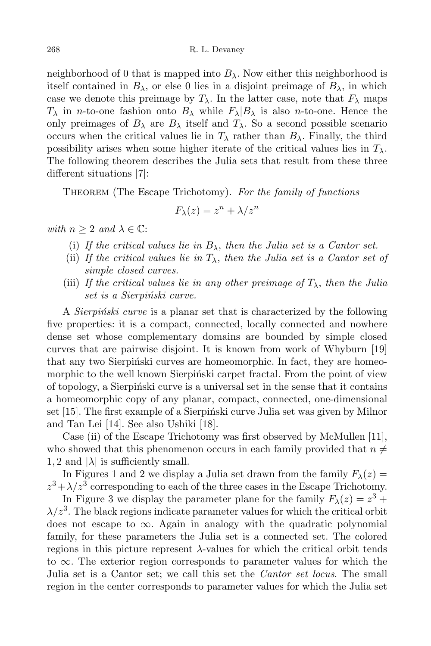neighborhood of 0 that is mapped into  $B_\lambda$ . Now either this neighborhood is itself contained in  $B_\lambda$ , or else 0 lies in a disjoint preimage of  $B_\lambda$ , in which case we denote this preimage by  $T_{\lambda}$ . In the latter case, note that  $F_{\lambda}$  maps  $T_{\lambda}$  in *n*-to-one fashion onto  $B_{\lambda}$  while  $F_{\lambda}|B_{\lambda}$  is also *n*-to-one. Hence the only preimages of  $B_\lambda$  are  $B_\lambda$  itself and  $T_\lambda$ . So a second possible scenario occurs when the critical values lie in  $T_{\lambda}$  rather than  $B_{\lambda}$ . Finally, the third possibility arises when some higher iterate of the critical values lies in  $T_{\lambda}$ . The following theorem describes the Julia sets that result from these three different situations [7]:

THEOREM (The Escape Trichotomy). For the family of functions

$$
F_{\lambda}(z) = z^n + \lambda/z^n
$$

with  $n \geq 2$  and  $\lambda \in \mathbb{C}$ :

- (i) If the critical values lie in  $B_{\lambda}$ , then the Julia set is a Cantor set.
- (ii) If the critical values lie in  $T_{\lambda}$ , then the Julia set is a Cantor set of simple closed curves.
- (iii) If the critical values lie in any other preimage of  $T_{\lambda}$ , then the Julia set is a Sierpiński curve.

A *Sierpinski curve* is a planar set that is characterized by the following five properties: it is a compact, connected, locally connected and nowhere dense set whose complementary domains are bounded by simple closed curves that are pairwise disjoint. It is known from work of Whyburn [19] that any two Sierpinski curves are homeomorphic. In fact, they are homeomorphic to the well known Sierpinski carpet fractal. From the point of view of topology, a Sierpinski curve is a universal set in the sense that it contains a homeomorphic copy of any planar, compact, connected, one-dimensional set  $[15]$ . The first example of a Sierpinski curve Julia set was given by Milnor and Tan Lei [14]. See also Ushiki [18].

Case (ii) of the Escape Trichotomy was first observed by McMullen [11], who showed that this phenomenon occurs in each family provided that  $n \neq$ 1, 2 and  $|\lambda|$  is sufficiently small.

In Figures 1 and 2 we display a Julia set drawn from the family  $F_{\lambda}(z) =$  $z^3 + \lambda/z^3$  corresponding to each of the three cases in the Escape Trichotomy.

In Figure 3 we display the parameter plane for the family  $F_{\lambda}(z) = z^3 + z^4$  $\lambda/z^3$ . The black regions indicate parameter values for which the critical orbit does not escape to  $\infty$ . Again in analogy with the quadratic polynomial family, for these parameters the Julia set is a connected set. The colored regions in this picture represent  $\lambda$ -values for which the critical orbit tends to ∞. The exterior region corresponds to parameter values for which the Julia set is a Cantor set; we call this set the *Cantor set locus*. The small region in the center corresponds to parameter values for which the Julia set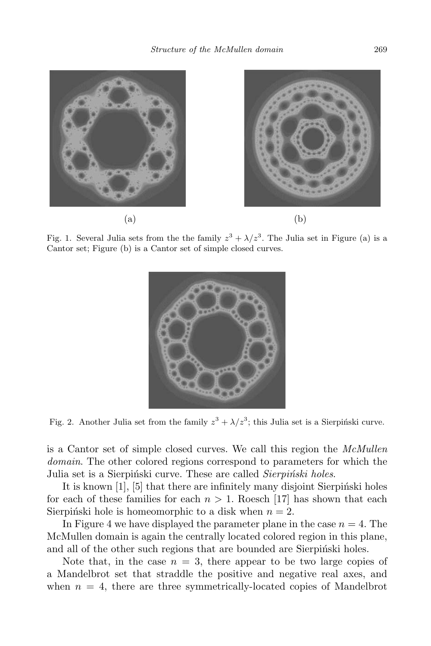

Fig. 1. Several Julia sets from the the family  $z^3 + \lambda/z^3$ . The Julia set in Figure (a) is a Cantor set; Figure (b) is a Cantor set of simple closed curves.



Fig. 2. Another Julia set from the family  $z^3 + \lambda/z^3$ ; this Julia set is a Sierpiński curve.

is a Cantor set of simple closed curves. We call this region the McMullen domain. The other colored regions correspond to parameters for which the Julia set is a Sierpinski curve. These are called *Sierpinski holes*.

It is known  $[1]$ ,  $[5]$  that there are infinitely many disjoint Sierpinski holes for each of these families for each  $n > 1$ . Roesch [17] has shown that each Sierpiński hole is homeomorphic to a disk when  $n = 2$ .

In Figure 4 we have displayed the parameter plane in the case  $n = 4$ . The McMullen domain is again the centrally located colored region in this plane, and all of the other such regions that are bounded are Sierpinski holes.

Note that, in the case  $n = 3$ , there appear to be two large copies of a Mandelbrot set that straddle the positive and negative real axes, and when  $n = 4$ , there are three symmetrically-located copies of Mandelbrot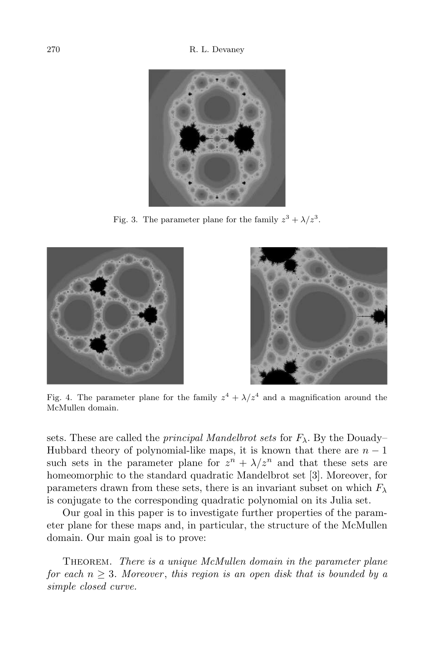

Fig. 3. The parameter plane for the family  $z^3 + \lambda/z^3$ .





Fig. 4. The parameter plane for the family  $z^4 + \lambda/z^4$  and a magnification around the McMullen domain.

sets. These are called the *principal Mandelbrot sets* for  $F_{\lambda}$ . By the Douady– Hubbard theory of polynomial-like maps, it is known that there are  $n-1$ such sets in the parameter plane for  $z^n + \lambda/z^n$  and that these sets are homeomorphic to the standard quadratic Mandelbrot set [3]. Moreover, for parameters drawn from these sets, there is an invariant subset on which  $F_{\lambda}$ is conjugate to the corresponding quadratic polynomial on its Julia set.

Our goal in this paper is to investigate further properties of the parameter plane for these maps and, in particular, the structure of the McMullen domain. Our main goal is to prove:

THEOREM. There is a unique McMullen domain in the parameter plane for each  $n \geq 3$ . Moreover, this region is an open disk that is bounded by a simple closed curve.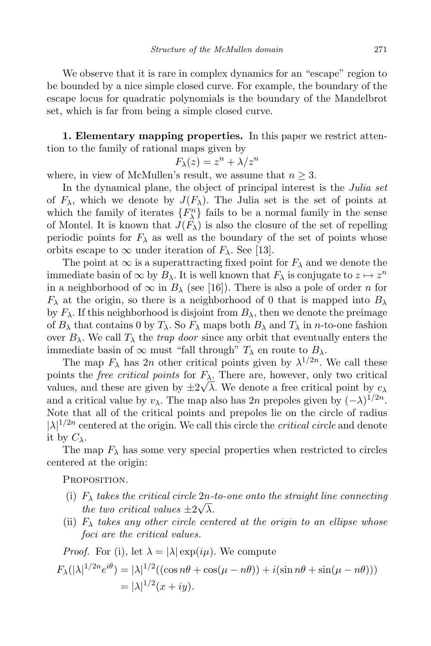We observe that it is rare in complex dynamics for an "escape" region to be bounded by a nice simple closed curve. For example, the boundary of the escape locus for quadratic polynomials is the boundary of the Mandelbrot set, which is far from being a simple closed curve.

1. Elementary mapping properties. In this paper we restrict attention to the family of rational maps given by

$$
F_{\lambda}(z) = z^n + \lambda/z^n
$$

where, in view of McMullen's result, we assume that  $n \geq 3$ .

In the dynamical plane, the object of principal interest is the Julia set of  $F_{\lambda}$ , which we denote by  $J(F_{\lambda})$ . The Julia set is the set of points at which the family of iterates  ${F_{\lambda}^{n}}$  fails to be a normal family in the sense of Montel. It is known that  $J(F_\lambda)$  is also the closure of the set of repelling periodic points for  $F_{\lambda}$  as well as the boundary of the set of points whose orbits escape to  $\infty$  under iteration of  $F_{\lambda}$ . See [13].

The point at  $\infty$  is a superattracting fixed point for  $F_{\lambda}$  and we denote the immediate basin of  $\infty$  by  $B_\lambda$ . It is well known that  $F_\lambda$  is conjugate to  $z \mapsto z^n$ in a neighborhood of  $\infty$  in  $B_\lambda$  (see [16]). There is also a pole of order *n* for  $F_{\lambda}$  at the origin, so there is a neighborhood of 0 that is mapped into  $B_{\lambda}$ by  $F_{\lambda}$ . If this neighborhood is disjoint from  $B_{\lambda}$ , then we denote the preimage of  $B_\lambda$  that contains 0 by  $T_\lambda$ . So  $F_\lambda$  maps both  $B_\lambda$  and  $T_\lambda$  in n-to-one fashion over  $B_\lambda$ . We call  $T_\lambda$  the *trap door* since any orbit that eventually enters the immediate basin of  $\infty$  must "fall through"  $T_{\lambda}$  en route to  $B_{\lambda}$ .

The map  $F_{\lambda}$  has  $2n$  other critical points given by  $\lambda^{1/2n}$ . We call these points the *free critical points* for  $F_{\lambda}$ . There are, however, only two critical values, and these are given by  $\pm 2\sqrt{\lambda}$ . We denote a free critical point by  $c_{\lambda}$ and a critical value by  $v_\lambda$ . The map also has 2n prepoles given by  $(-\lambda)^{1/2n}$ . Note that all of the critical points and prepoles lie on the circle of radius  $|\lambda|^{1/2n}$  centered at the origin. We call this circle the *critical circle* and denote it by  $C_{\lambda}$ .

The map  $F_{\lambda}$  has some very special properties when restricted to circles centered at the origin:

PROPOSITION.

- (i)  $F_{\lambda}$  takes the critical circle 2n-to-one onto the straight line connecting the two critical values  $\pm 2\sqrt{\lambda}$ .
- (ii)  $F_{\lambda}$  takes any other circle centered at the origin to an ellipse whose foci are the critical values.

*Proof.* For (i), let 
$$
\lambda = |\lambda| \exp(i\mu)
$$
. We compute  
\n
$$
F_{\lambda}(|\lambda|^{1/2n}e^{i\theta}) = |\lambda|^{1/2}((\cos n\theta + \cos(\mu - n\theta)) + i(\sin n\theta + \sin(\mu - n\theta)))
$$
\n
$$
= |\lambda|^{1/2}(x + iy).
$$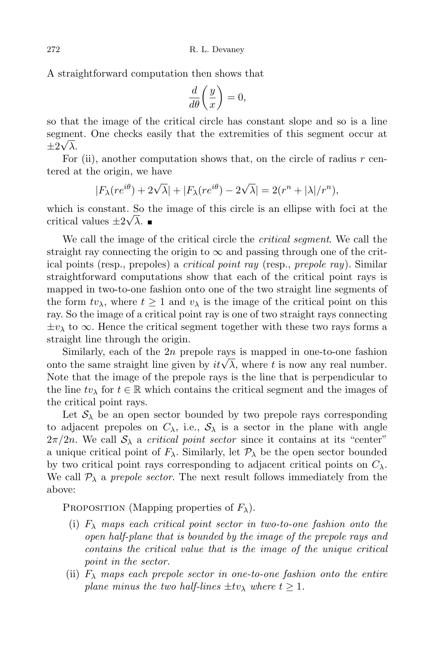A straightforward computation then shows that

$$
\frac{d}{d\theta}\bigg(\frac{y}{x}\bigg) = 0,
$$

so that the image of the critical circle has constant slope and so is a line segment. One checks easily that the extremities of this segment occur at  $\pm 2\sqrt{\lambda}$ .

For  $(ii)$ , another computation shows that, on the circle of radius r centered at the origin, we have

$$
|F_{\lambda}(re^{i\theta}) + 2\sqrt{\lambda}| + |F_{\lambda}(re^{i\theta}) - 2\sqrt{\lambda}| = 2(r^n + |\lambda|/r^n),
$$

which is constant. So the image of this circle is an ellipse with foci at the critical values  $\pm 2\sqrt{\lambda}$ .

We call the image of the critical circle the *critical segment*. We call the straight ray connecting the origin to  $\infty$  and passing through one of the critical points (resp., prepoles) a critical point ray (resp., prepole ray). Similar straightforward computations show that each of the critical point rays is mapped in two-to-one fashion onto one of the two straight line segments of the form  $tv_\lambda$ , where  $t \geq 1$  and  $v_\lambda$  is the image of the critical point on this ray. So the image of a critical point ray is one of two straight rays connecting  $\pm v_\lambda$  to  $\infty$ . Hence the critical segment together with these two rays forms a straight line through the origin.

Similarly, each of the  $2n$  prepole rays is mapped in one-to-one fashion onto the same straight line given by  $it\sqrt{\lambda}$ , where t is now any real number. Note that the image of the prepole rays is the line that is perpendicular to the line  $tv_\lambda$  for  $t \in \mathbb{R}$  which contains the critical segment and the images of the critical point rays.

Let  $S_\lambda$  be an open sector bounded by two prepole rays corresponding to adjacent prepoles on  $C_{\lambda}$ , i.e.,  $S_{\lambda}$  is a sector in the plane with angle  $2\pi/2n$ . We call  $\mathcal{S}_{\lambda}$  a *critical point sector* since it contains at its "center" a unique critical point of  $F_{\lambda}$ . Similarly, let  $\mathcal{P}_{\lambda}$  be the open sector bounded by two critical point rays corresponding to adjacent critical points on  $C_{\lambda}$ . We call  $\mathcal{P}_{\lambda}$  a prepole sector. The next result follows immediately from the above:

PROPOSITION (Mapping properties of  $F_{\lambda}$ ).

- (i)  $F_{\lambda}$  maps each critical point sector in two-to-one fashion onto the open half-plane that is bounded by the image of the prepole rays and contains the critical value that is the image of the unique critical point in the sector.
- (ii)  $F_{\lambda}$  maps each prepole sector in one-to-one fashion onto the entire plane minus the two half-lines  $\pm tv_\lambda$  where  $t \geq 1$ .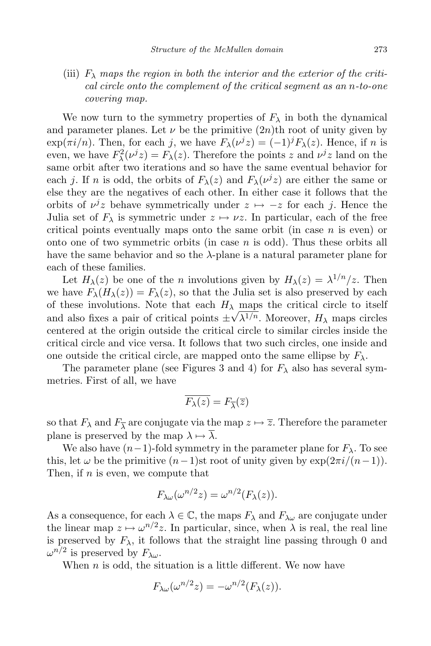(iii)  $F_{\lambda}$  maps the region in both the interior and the exterior of the critical circle onto the complement of the critical segment as an n-to-one covering map.

We now turn to the symmetry properties of  $F_{\lambda}$  in both the dynamical and parameter planes. Let  $\nu$  be the primitive  $(2n)$ th root of unity given by  $\exp(\pi i/n)$ . Then, for each j, we have  $F_{\lambda}(\nu^{j}z) = (-1)^{j}F_{\lambda}(z)$ . Hence, if n is even, we have  $F_{\lambda}^2(\nu^j z) = F_{\lambda}(z)$ . Therefore the points z and  $\nu^j z$  land on the same orbit after two iterations and so have the same eventual behavior for each *j*. If *n* is odd, the orbits of  $F_{\lambda}(z)$  and  $F_{\lambda}(\nu^{j}z)$  are either the same or else they are the negatives of each other. In either case it follows that the orbits of  $\nu^{j}z$  behave symmetrically under  $z \mapsto -z$  for each j. Hence the Julia set of  $F_{\lambda}$  is symmetric under  $z \mapsto \nu z$ . In particular, each of the free critical points eventually maps onto the same orbit (in case  $n$  is even) or onto one of two symmetric orbits (in case  $n$  is odd). Thus these orbits all have the same behavior and so the  $\lambda$ -plane is a natural parameter plane for each of these families.

Let  $H_{\lambda}(z)$  be one of the *n* involutions given by  $H_{\lambda}(z) = \lambda^{1/n}/z$ . Then we have  $F_{\lambda}(H_{\lambda}(z)) = F_{\lambda}(z)$ , so that the Julia set is also preserved by each of these involutions. Note that each  $H_{\lambda}$  maps the critical circle to itself and also fixes a pair of critical points  $\pm \sqrt{\lambda^{1/n}}$ . Moreover,  $H_{\lambda}$  maps circles centered at the origin outside the critical circle to similar circles inside the critical circle and vice versa. It follows that two such circles, one inside and one outside the critical circle, are mapped onto the same ellipse by  $F_{\lambda}$ .

The parameter plane (see Figures 3 and 4) for  $F_{\lambda}$  also has several symmetries. First of all, we have

$$
\overline{F_{\lambda}(z)} = F_{\overline{\lambda}}(\overline{z})
$$

so that  $F_{\lambda}$  and  $F_{\overline{\lambda}}$  are conjugate via the map  $z \mapsto \overline{z}$ . Therefore the parameter plane is preserved by the map  $\lambda \mapsto \overline{\lambda}$ .

We also have  $(n-1)$ -fold symmetry in the parameter plane for  $F_\lambda$ . To see this, let  $\omega$  be the primitive  $(n-1)$ st root of unity given by  $\exp(2\pi i/(n-1))$ . Then, if  $n$  is even, we compute that

$$
F_{\lambda\omega}(\omega^{n/2}z) = \omega^{n/2}(F_{\lambda}(z)).
$$

As a consequence, for each  $\lambda \in \mathbb{C}$ , the maps  $F_{\lambda}$  and  $F_{\lambda\omega}$  are conjugate under the linear map  $z \mapsto \omega^{n/2} z$ . In particular, since, when  $\lambda$  is real, the real line is preserved by  $F_{\lambda}$ , it follows that the straight line passing through 0 and  $\omega^{n/2}$  is preserved by  $F_{\lambda\omega}$ .

When  $n$  is odd, the situation is a little different. We now have

$$
F_{\lambda\omega}(\omega^{n/2}z) = -\omega^{n/2}(F_{\lambda}(z)).
$$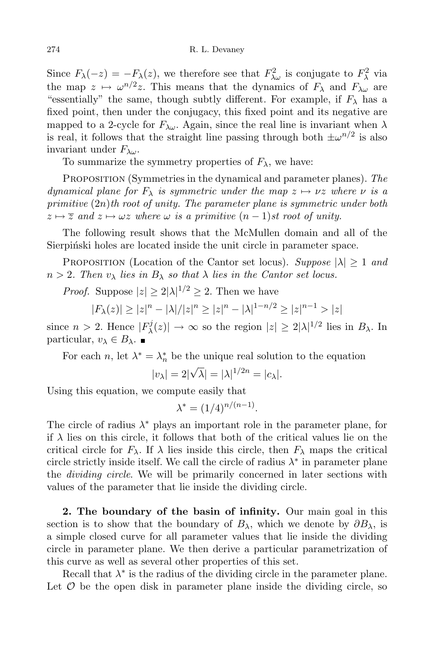Since  $F_{\lambda}(-z) = -F_{\lambda}(z)$ , we therefore see that  $F_{\lambda\omega}^2$  is conjugate to  $F_{\lambda}^2$  via the map  $z \mapsto \omega^{n/2}z$ . This means that the dynamics of  $F_{\lambda}$  and  $F_{\lambda\omega}$  are "essentially" the same, though subtly different. For example, if  $F_{\lambda}$  has a fixed point, then under the conjugacy, this fixed point and its negative are mapped to a 2-cycle for  $F_{\lambda\omega}$ . Again, since the real line is invariant when  $\lambda$ is real, it follows that the straight line passing through both  $\pm \omega^{n/2}$  is also invariant under  $F_{\lambda\omega}$ .

To summarize the symmetry properties of  $F_{\lambda}$ , we have:

PROPOSITION (Symmetries in the dynamical and parameter planes). The dynamical plane for  $F_{\lambda}$  is symmetric under the map  $z \mapsto \nu z$  where  $\nu$  is a primitive  $(2n)$ th root of unity. The parameter plane is symmetric under both  $z \mapsto \overline{z}$  and  $z \mapsto \omega z$  where  $\omega$  is a primitive  $(n - 1)$ st root of unity.

The following result shows that the McMullen domain and all of the Sierpinski holes are located inside the unit circle in parameter space.

PROPOSITION (Location of the Cantor set locus). Suppose  $|\lambda| \geq 1$  and  $n > 2$ . Then  $v_{\lambda}$  lies in  $B_{\lambda}$  so that  $\lambda$  lies in the Cantor set locus.

*Proof.* Suppose  $|z| \ge 2|\lambda|^{1/2} \ge 2$ . Then we have

$$
|F_{\lambda}(z)| \ge |z|^n - |\lambda|/|z|^n \ge |z|^n - |\lambda|^{1-n/2} \ge |z|^{n-1} > |z|
$$

since  $n > 2$ . Hence  $|F_{\lambda}^{j}|$  $|\mathcal{Z}_\lambda(z)| \to \infty$  so the region  $|z| \geq 2|\lambda|^{1/2}$  lies in  $B_\lambda$ . In particular,  $v_{\lambda} \in B_{\lambda}$ .

For each *n*, let  $\lambda^* = \lambda_n^*$  be the unique real solution to the equation

$$
|v_\lambda|=2|\sqrt{\lambda}|=|\lambda|^{1/2n}=|c_\lambda|.
$$

Using this equation, we compute easily that

$$
\lambda^* = (1/4)^{n/(n-1)}.
$$

The circle of radius  $\lambda^*$  plays an important role in the parameter plane, for if  $\lambda$  lies on this circle, it follows that both of the critical values lie on the critical circle for  $F_{\lambda}$ . If  $\lambda$  lies inside this circle, then  $F_{\lambda}$  maps the critical circle strictly inside itself. We call the circle of radius  $\lambda^*$  in parameter plane the *dividing circle*. We will be primarily concerned in later sections with values of the parameter that lie inside the dividing circle.

2. The boundary of the basin of infinity. Our main goal in this section is to show that the boundary of  $B_\lambda$ , which we denote by  $\partial B_\lambda$ , is a simple closed curve for all parameter values that lie inside the dividing circle in parameter plane. We then derive a particular parametrization of this curve as well as several other properties of this set.

Recall that  $\lambda^*$  is the radius of the dividing circle in the parameter plane. Let  $\mathcal O$  be the open disk in parameter plane inside the dividing circle, so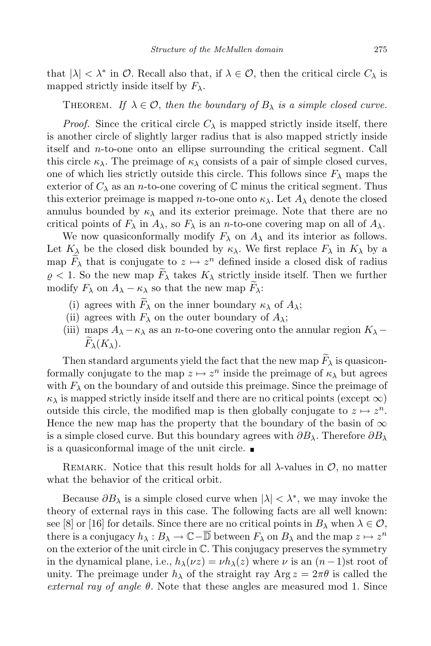that  $|\lambda| < \lambda^*$  in  $\mathcal{O}$ . Recall also that, if  $\lambda \in \mathcal{O}$ , then the critical circle  $C_{\lambda}$  is mapped strictly inside itself by  $F_{\lambda}$ .

THEOREM. If  $\lambda \in \mathcal{O}$ , then the boundary of  $B_{\lambda}$  is a simple closed curve.

*Proof.* Since the critical circle  $C_{\lambda}$  is mapped strictly inside itself, there is another circle of slightly larger radius that is also mapped strictly inside itself and n-to-one onto an ellipse surrounding the critical segment. Call this circle  $\kappa_{\lambda}$ . The preimage of  $\kappa_{\lambda}$  consists of a pair of simple closed curves, one of which lies strictly outside this circle. This follows since  $F_{\lambda}$  maps the exterior of  $C_{\lambda}$  as an *n*-to-one covering of  $\mathbb C$  minus the critical segment. Thus this exterior preimage is mapped *n*-to-one onto  $\kappa_{\lambda}$ . Let  $A_{\lambda}$  denote the closed annulus bounded by  $\kappa_{\lambda}$  and its exterior preimage. Note that there are no critical points of  $F_{\lambda}$  in  $A_{\lambda}$ , so  $F_{\lambda}$  is an *n*-to-one covering map on all of  $A_{\lambda}$ .

We now quasiconformally modify  $F_{\lambda}$  on  $A_{\lambda}$  and its interior as follows. Let  $K_{\lambda}$  be the closed disk bounded by  $\kappa_{\lambda}$ . We first replace  $F_{\lambda}$  in  $K_{\lambda}$  by a map  $\overline{F}_{\lambda}$  that is conjugate to  $z \mapsto z^n$  defined inside a closed disk of radius  $\rho < 1$ . So the new map  $F_{\lambda}$  takes  $K_{\lambda}$  strictly inside itself. Then we further modify  $F_{\lambda}$  on  $A_{\lambda} - \kappa_{\lambda}$  so that the new map  $F_{\lambda}$ :

- (i) agrees with  $F_{\lambda}$  on the inner boundary  $\kappa_{\lambda}$  of  $A_{\lambda}$ ;
- (ii) agrees with  $F_{\lambda}$  on the outer boundary of  $A_{\lambda}$ ;
- (iii) maps  $A_{\lambda} \kappa_{\lambda}$  as an *n*-to-one covering onto the annular region  $K_{\lambda}$   $F_{\lambda}(K_{\lambda}).$

Then standard arguments yield the fact that the new map  $F_{\lambda}$  is quasiconformally conjugate to the map  $z \mapsto z^n$  inside the preimage of  $\kappa_\lambda$  but agrees with  $F_{\lambda}$  on the boundary of and outside this preimage. Since the preimage of  $\kappa_{\lambda}$  is mapped strictly inside itself and there are no critical points (except  $\infty$ ) outside this circle, the modified map is then globally conjugate to  $z \mapsto z^n$ . Hence the new map has the property that the boundary of the basin of  $\infty$ is a simple closed curve. But this boundary agrees with  $\partial B_\lambda$ . Therefore  $\partial B_\lambda$ is a quasiconformal image of the unit circle.

REMARK. Notice that this result holds for all  $\lambda$ -values in  $\mathcal{O}$ , no matter what the behavior of the critical orbit.

Because  $\partial B_{\lambda}$  is a simple closed curve when  $|\lambda| < \lambda^*$ , we may invoke the theory of external rays in this case. The following facts are all well known: see [8] or [16] for details. Since there are no critical points in  $B_\lambda$  when  $\lambda \in \mathcal{O}$ , there is a conjugacy  $h_\lambda: B_\lambda \to \mathbb{C} - \overline{\mathbb{D}}$  between  $F_\lambda$  on  $B_\lambda$  and the map  $z \mapsto z^n$ on the exterior of the unit circle in  $\mathbb{C}$ . This conjugacy preserves the symmetry in the dynamical plane, i.e.,  $h_{\lambda}(\nu z) = \nu h_{\lambda}(z)$  where  $\nu$  is an  $(n-1)$ st root of unity. The preimage under  $h_{\lambda}$  of the straight ray Arg  $z = 2\pi\theta$  is called the external ray of angle  $\theta$ . Note that these angles are measured mod 1. Since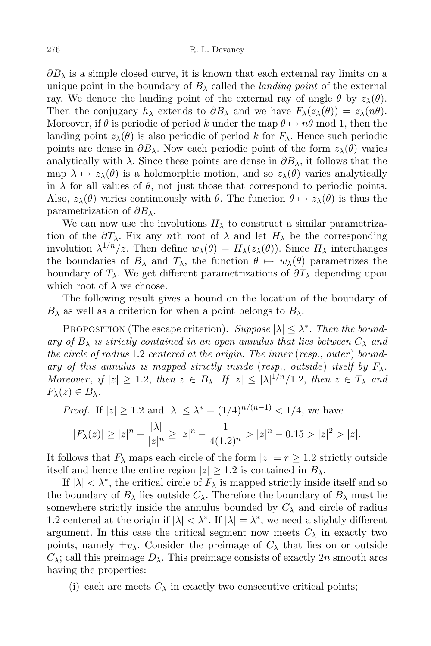$\partial B_\lambda$  is a simple closed curve, it is known that each external ray limits on a unique point in the boundary of  $B_\lambda$  called the *landing point* of the external ray. We denote the landing point of the external ray of angle  $\theta$  by  $z_{\lambda}(\theta)$ . Then the conjugacy  $h_{\lambda}$  extends to  $\partial B_{\lambda}$  and we have  $F_{\lambda}(z_{\lambda}(\theta)) = z_{\lambda}(n\theta)$ . Moreover, if  $\theta$  is periodic of period k under the map  $\theta \mapsto n\theta$  mod 1, then the landing point  $z_{\lambda}(\theta)$  is also periodic of period k for  $F_{\lambda}$ . Hence such periodic points are dense in  $\partial B_\lambda$ . Now each periodic point of the form  $z_\lambda(\theta)$  varies analytically with  $\lambda$ . Since these points are dense in  $\partial B_{\lambda}$ , it follows that the map  $\lambda \mapsto z_\lambda(\theta)$  is a holomorphic motion, and so  $z_\lambda(\theta)$  varies analytically in  $\lambda$  for all values of  $\theta$ , not just those that correspond to periodic points. Also,  $z_{\lambda}(\theta)$  varies continuously with  $\theta$ . The function  $\theta \mapsto z_{\lambda}(\theta)$  is thus the parametrization of  $\partial B_\lambda$ .

We can now use the involutions  $H_{\lambda}$  to construct a similar parametrization of the  $\partial T_\lambda$ . Fix any nth root of  $\lambda$  and let  $H_\lambda$  be the corresponding involution  $\lambda^{1/n}/z$ . Then define  $w_{\lambda}(\theta) = H_{\lambda}(z_{\lambda}(\theta))$ . Since  $H_{\lambda}$  interchanges the boundaries of  $B_\lambda$  and  $T_\lambda$ , the function  $\theta \mapsto w_\lambda(\theta)$  parametrizes the boundary of  $T_{\lambda}$ . We get different parametrizations of  $\partial T_{\lambda}$  depending upon which root of  $\lambda$  we choose.

The following result gives a bound on the location of the boundary of  $B_\lambda$  as well as a criterion for when a point belongs to  $B_\lambda$ .

PROPOSITION (The escape criterion). Suppose  $|\lambda| \leq \lambda^*$ . Then the boundary of  $B_\lambda$  is strictly contained in an open annulus that lies between  $C_\lambda$  and the circle of radius  $1.2$  centered at the origin. The inner (resp., outer) boundary of this annulus is mapped strictly inside (resp., outside) itself by  $F_{\lambda}$ . Moreover, if  $|z| \geq 1.2$ , then  $z \in B_\lambda$ . If  $|z| \leq |\lambda|^{1/n}/1.2$ , then  $z \in T_\lambda$  and  $F_{\lambda}(z) \in B_{\lambda}$ .

*Proof.* If  $|z| \ge 1.2$  and  $|\lambda| \le \lambda^* = (1/4)^{n/(n-1)} < 1/4$ , we have

$$
|F_{\lambda}(z)| \ge |z|^n - \frac{|\lambda|}{|z|^n} \ge |z|^n - \frac{1}{4(1.2)^n} > |z|^n - 0.15 > |z|^2 > |z|.
$$

It follows that  $F_{\lambda}$  maps each circle of the form  $|z| = r \geq 1.2$  strictly outside itself and hence the entire region  $|z| \geq 1.2$  is contained in  $B_{\lambda}$ .

If  $|\lambda| < \lambda^*$ , the critical circle of  $F_\lambda$  is mapped strictly inside itself and so the boundary of  $B_\lambda$  lies outside  $C_\lambda$ . Therefore the boundary of  $B_\lambda$  must lie somewhere strictly inside the annulus bounded by  $C_{\lambda}$  and circle of radius 1.2 centered at the origin if  $|\lambda| < \lambda^*$ . If  $|\lambda| = \lambda^*$ , we need a slightly different argument. In this case the critical segment now meets  $C_{\lambda}$  in exactly two points, namely  $\pm v_{\lambda}$ . Consider the preimage of  $C_{\lambda}$  that lies on or outside  $C_{\lambda}$ ; call this preimage  $D_{\lambda}$ . This preimage consists of exactly 2n smooth arcs having the properties:

(i) each arc meets  $C_{\lambda}$  in exactly two consecutive critical points;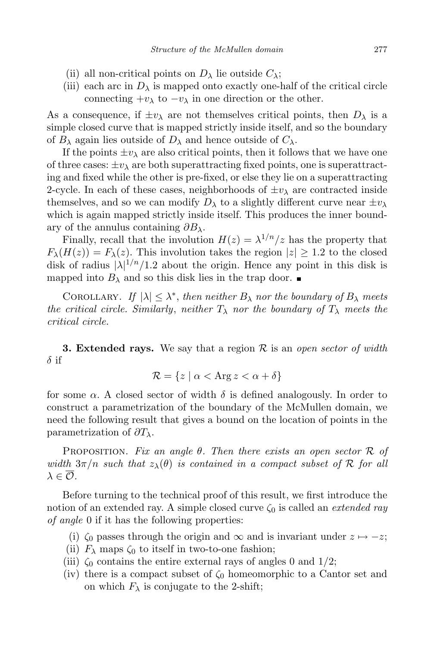- (ii) all non-critical points on  $D_{\lambda}$  lie outside  $C_{\lambda}$ ;
- (iii) each arc in  $D_{\lambda}$  is mapped onto exactly one-half of the critical circle connecting  $+v_\lambda$  to  $-v_\lambda$  in one direction or the other.

As a consequence, if  $\pm v_\lambda$  are not themselves critical points, then  $D_\lambda$  is a simple closed curve that is mapped strictly inside itself, and so the boundary of  $B_\lambda$  again lies outside of  $D_\lambda$  and hence outside of  $C_\lambda$ .

If the points  $\pm v_\lambda$  are also critical points, then it follows that we have one of three cases:  $\pm v_{\lambda}$  are both superattracting fixed points, one is superattracting and fixed while the other is pre-fixed, or else they lie on a superattracting 2-cycle. In each of these cases, neighborhoods of  $\pm v_{\lambda}$  are contracted inside themselves, and so we can modify  $D_{\lambda}$  to a slightly different curve near  $\pm v_{\lambda}$ which is again mapped strictly inside itself. This produces the inner boundary of the annulus containing  $\partial B_\lambda$ .

Finally, recall that the involution  $H(z) = \lambda^{1/n}/z$  has the property that  $F_{\lambda}(H(z)) = F_{\lambda}(z)$ . This involution takes the region  $|z| \geq 1.2$  to the closed disk of radius  $|\lambda|^{1/n}/1.2$  about the origin. Hence any point in this disk is mapped into  $B_\lambda$  and so this disk lies in the trap door.

COROLLARY. If  $|\lambda| \leq \lambda^*$ , then neither  $B_{\lambda}$  nor the boundary of  $B_{\lambda}$  meets the critical circle. Similarly, neither  $T_{\lambda}$  nor the boundary of  $T_{\lambda}$  meets the critical circle.

**3. Extended rays.** We say that a region R is an *open sector of width*  $\delta$  if

$$
\mathcal{R} = \{ z \mid \alpha < \text{Arg } z < \alpha + \delta \}
$$

for some  $\alpha$ . A closed sector of width  $\delta$  is defined analogously. In order to construct a parametrization of the boundary of the McMullen domain, we need the following result that gives a bound on the location of points in the parametrization of  $\partial T_\lambda$ .

PROPOSITION. Fix an angle  $\theta$ . Then there exists an open sector  $\mathcal R$  of width  $3\pi/n$  such that  $z_{\lambda}(\theta)$  is contained in a compact subset of R for all  $\lambda \in \overline{\mathcal{O}}$ .

Before turning to the technical proof of this result, we first introduce the notion of an extended ray. A simple closed curve  $\zeta_0$  is called an *extended ray* of angle 0 if it has the following properties:

- (i)  $\zeta_0$  passes through the origin and  $\infty$  and is invariant under  $z \mapsto -z$ ;
- (ii)  $F_{\lambda}$  maps  $\zeta_0$  to itself in two-to-one fashion;
- (iii)  $\zeta_0$  contains the entire external rays of angles 0 and 1/2;
- (iv) there is a compact subset of  $\zeta_0$  homeomorphic to a Cantor set and on which  $F_{\lambda}$  is conjugate to the 2-shift;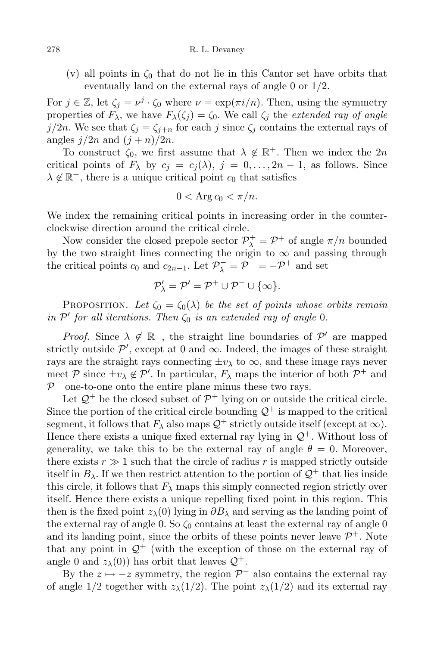(v) all points in  $\zeta_0$  that do not lie in this Cantor set have orbits that eventually land on the external rays of angle 0 or 1/2.

For  $j \in \mathbb{Z}$ , let  $\zeta_j = \nu^j \cdot \zeta_0$  where  $\nu = \exp(\pi i/n)$ . Then, using the symmetry properties of  $F_{\lambda}$ , we have  $F_{\lambda}(\zeta_i) = \zeta_0$ . We call  $\zeta_i$  the extended ray of angle j/2n. We see that  $\zeta_i = \zeta_{i+n}$  for each j since  $\zeta_i$  contains the external rays of angles  $j/2n$  and  $(j + n)/2n$ .

To construct  $\zeta_0$ , we first assume that  $\lambda \notin \mathbb{R}^+$ . Then we index the 2n critical points of  $F_{\lambda}$  by  $c_j = c_j(\lambda), j = 0, \ldots, 2n-1$ , as follows. Since  $\lambda \notin \mathbb{R}^+$ , there is a unique critical point  $c_0$  that satisfies

$$
0 < \text{Arg } c_0 < \pi/n.
$$

We index the remaining critical points in increasing order in the counterclockwise direction around the critical circle.

Now consider the closed prepole sector  $\mathcal{P}^+_\lambda = \mathcal{P}^+$  of angle  $\pi/n$  bounded by the two straight lines connecting the origin to  $\infty$  and passing through the critical points  $c_0$  and  $c_{2n-1}$ . Let  $\mathcal{P}^-_\lambda = \mathcal{P}^- = -\mathcal{P}^+$  and set

$$
\mathcal{P}'_{\lambda} = \mathcal{P}' = \mathcal{P}^+ \cup \mathcal{P}^- \cup \{\infty\}.
$$

PROPOSITION. Let  $\zeta_0 = \zeta_0(\lambda)$  be the set of points whose orbits remain in  $\mathcal{P}'$  for all iterations. Then  $\zeta_0$  is an extended ray of angle 0.

*Proof.* Since  $\lambda \notin \mathbb{R}^+$ , the straight line boundaries of  $\mathcal{P}'$  are mapped strictly outside  $\mathcal{P}'$ , except at 0 and  $\infty$ . Indeed, the images of these straight rays are the straight rays connecting  $\pm v_\lambda$  to  $\infty$ , and these image rays never meet  $P$  since  $\pm v_{\lambda} \notin P'$ . In particular,  $F_{\lambda}$  maps the interior of both  $P^+$  and  $P^-$  one-to-one onto the entire plane minus these two rays.

Let  $\mathcal{Q}^+$  be the closed subset of  $\mathcal{P}^+$  lying on or outside the critical circle. Since the portion of the critical circle bounding  $\mathcal{Q}^+$  is mapped to the critical segment, it follows that  $F_{\lambda}$  also maps  $\mathcal{Q}^+$  strictly outside itself (except at  $\infty$ ). Hence there exists a unique fixed external ray lying in  $\mathcal{Q}^+$ . Without loss of generality, we take this to be the external ray of angle  $\theta = 0$ . Moreover, there exists  $r \gg 1$  such that the circle of radius r is mapped strictly outside itself in  $B_\lambda$ . If we then restrict attention to the portion of  $\mathcal{Q}^+$  that lies inside this circle, it follows that  $F_{\lambda}$  maps this simply connected region strictly over itself. Hence there exists a unique repelling fixed point in this region. This then is the fixed point  $z_\lambda(0)$  lying in  $\partial B_\lambda$  and serving as the landing point of the external ray of angle 0. So  $\zeta_0$  contains at least the external ray of angle 0 and its landing point, since the orbits of these points never leave  $\mathcal{P}^+$ . Note that any point in  $\mathcal{Q}^+$  (with the exception of those on the external ray of angle 0 and  $z_{\lambda}(0)$  has orbit that leaves  $\mathcal{Q}^+$ .

By the  $z \mapsto -z$  symmetry, the region  $\mathcal{P}^-$  also contains the external ray of angle 1/2 together with  $z_{\lambda}(1/2)$ . The point  $z_{\lambda}(1/2)$  and its external ray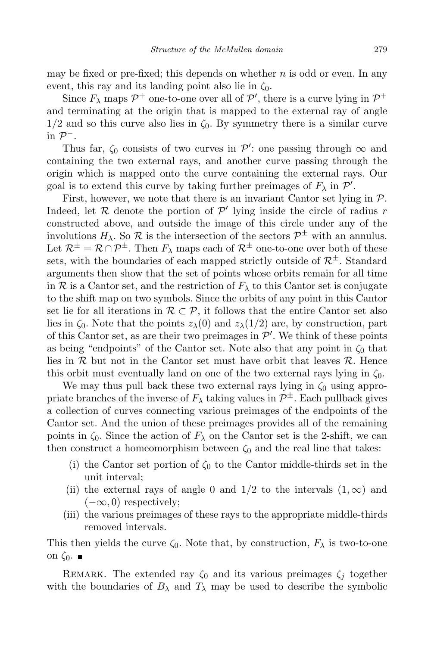may be fixed or pre-fixed; this depends on whether  $n$  is odd or even. In any event, this ray and its landing point also lie in  $\zeta_0$ .

Since  $F_{\lambda}$  maps  $\mathcal{P}^+$  one-to-one over all of  $\mathcal{P}'$ , there is a curve lying in  $\mathcal{P}^+$ and terminating at the origin that is mapped to the external ray of angle  $1/2$  and so this curve also lies in  $\zeta_0$ . By symmetry there is a similar curve  $\overline{\text{in }} P^-$ .

Thus far,  $\zeta_0$  consists of two curves in  $\mathcal{P}'$ : one passing through  $\infty$  and containing the two external rays, and another curve passing through the origin which is mapped onto the curve containing the external rays. Our goal is to extend this curve by taking further preimages of  $F_{\lambda}$  in  $\mathcal{P}'$ .

First, however, we note that there is an invariant Cantor set lying in  $P$ . Indeed, let  $R$  denote the portion of  $P'$  lying inside the circle of radius r constructed above, and outside the image of this circle under any of the involutions  $H_{\lambda}$ . So  $\mathcal{R}$  is the intersection of the sectors  $\mathcal{P}^{\pm}$  with an annulus. Let  $\mathcal{R}^{\pm} = \mathcal{R} \cap \mathcal{P}^{\pm}$ . Then  $F_{\lambda}$  maps each of  $\mathcal{R}^{\pm}$  one-to-one over both of these sets, with the boundaries of each mapped strictly outside of  $\mathcal{R}^{\pm}$ . Standard arguments then show that the set of points whose orbits remain for all time in R is a Cantor set, and the restriction of  $F_{\lambda}$  to this Cantor set is conjugate to the shift map on two symbols. Since the orbits of any point in this Cantor set lie for all iterations in  $\mathcal{R} \subset \mathcal{P}$ , it follows that the entire Cantor set also lies in  $\zeta_0$ . Note that the points  $z_\lambda(0)$  and  $z_\lambda(1/2)$  are, by construction, part of this Cantor set, as are their two preimages in  $\mathcal{P}'$ . We think of these points as being "endpoints" of the Cantor set. Note also that any point in  $\zeta_0$  that lies in  $\mathcal R$  but not in the Cantor set must have orbit that leaves  $\mathcal R$ . Hence this orbit must eventually land on one of the two external rays lying in  $\zeta_0$ .

We may thus pull back these two external rays lying in  $\zeta_0$  using appropriate branches of the inverse of  $F_{\lambda}$  taking values in  $\mathcal{P}^{\pm}$ . Each pullback gives a collection of curves connecting various preimages of the endpoints of the Cantor set. And the union of these preimages provides all of the remaining points in  $\zeta_0$ . Since the action of  $F_\lambda$  on the Cantor set is the 2-shift, we can then construct a homeomorphism between  $\zeta_0$  and the real line that takes:

- (i) the Cantor set portion of  $\zeta_0$  to the Cantor middle-thirds set in the unit interval;
- (ii) the external rays of angle 0 and  $1/2$  to the intervals  $(1,\infty)$  and  $(-\infty, 0)$  respectively;
- (iii) the various preimages of these rays to the appropriate middle-thirds removed intervals.

This then yields the curve  $\zeta_0$ . Note that, by construction,  $F_\lambda$  is two-to-one on  $\zeta_0$ .

REMARK. The extended ray  $\zeta_0$  and its various preimages  $\zeta_i$  together with the boundaries of  $B_\lambda$  and  $T_\lambda$  may be used to describe the symbolic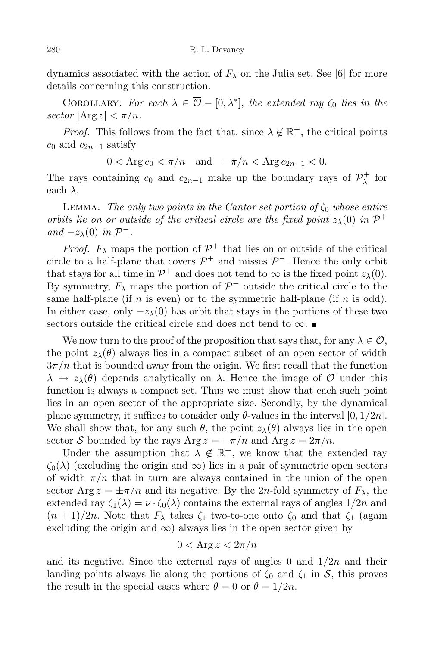dynamics associated with the action of  $F_{\lambda}$  on the Julia set. See [6] for more details concerning this construction.

COROLLARY. For each  $\lambda \in \overline{\mathcal{O}} - [0, \lambda^*]$ , the extended ray  $\zeta_0$  lies in the  $sector$   $|\text{Arg } z| < \pi/n$ .

*Proof.* This follows from the fact that, since  $\lambda \notin \mathbb{R}^+$ , the critical points  $c_0$  and  $c_{2n-1}$  satisfy

$$
0 < \text{Arg } c_0 < \pi/n \quad \text{and} \quad -\pi/n < \text{Arg } c_{2n-1} < 0.
$$

The rays containing  $c_0$  and  $c_{2n-1}$  make up the boundary rays of  $\mathcal{P}^+_{\lambda}$  $\lambda^+$  for each  $\lambda$ .

LEMMA. The only two points in the Cantor set portion of  $\zeta_0$  whose entire orbits lie on or outside of the critical circle are the fixed point  $z_{\lambda}(0)$  in  $\mathcal{P}^+$ and  $-z_\lambda(0)$  in  $\mathcal{P}^-$ .

*Proof.*  $F_{\lambda}$  maps the portion of  $\mathcal{P}^+$  that lies on or outside of the critical circle to a half-plane that covers  $\mathcal{P}^+$  and misses  $\mathcal{P}^-$ . Hence the only orbit that stays for all time in  $\mathcal{P}^+$  and does not tend to  $\infty$  is the fixed point  $z_\lambda(0)$ . By symmetry,  $F_{\lambda}$  maps the portion of  $\mathcal{P}^-$  outside the critical circle to the same half-plane (if  $n$  is even) or to the symmetric half-plane (if  $n$  is odd). In either case, only  $-z_{\lambda}(0)$  has orbit that stays in the portions of these two sectors outside the critical circle and does not tend to  $\infty$ .

We now turn to the proof of the proposition that says that, for any  $\lambda \in \mathcal{O}$ , the point  $z_{\lambda}(\theta)$  always lies in a compact subset of an open sector of width  $3\pi/n$  that is bounded away from the origin. We first recall that the function  $\lambda \mapsto z_\lambda(\theta)$  depends analytically on  $\lambda$ . Hence the image of  $\overline{\mathcal{O}}$  under this function is always a compact set. Thus we must show that each such point lies in an open sector of the appropriate size. Secondly, by the dynamical plane symmetry, it suffices to consider only  $\theta$ -values in the interval  $[0, 1/2n]$ . We shall show that, for any such  $\theta$ , the point  $z_{\lambda}(\theta)$  always lies in the open sector S bounded by the rays Arg  $z = -\pi/n$  and Arg  $z = 2\pi/n$ .

Under the assumption that  $\lambda \notin \mathbb{R}^+$ , we know that the extended ray  $\zeta_0(\lambda)$  (excluding the origin and  $\infty$ ) lies in a pair of symmetric open sectors of width  $\pi/n$  that in turn are always contained in the union of the open sector Arg  $z = \pm \pi/n$  and its negative. By the 2n-fold symmetry of  $F_{\lambda}$ , the extended ray  $\zeta_1(\lambda) = \nu \cdot \zeta_0(\lambda)$  contains the external rays of angles  $1/2n$  and  $(n+1)/2n$ . Note that  $F_{\lambda}$  takes  $\zeta_1$  two-to-one onto  $\zeta_0$  and that  $\zeta_1$  (again excluding the origin and  $\infty$ ) always lies in the open sector given by

$$
0 < \text{Arg}\, z < 2\pi/n
$$

and its negative. Since the external rays of angles 0 and  $1/2n$  and their landing points always lie along the portions of  $\zeta_0$  and  $\zeta_1$  in S, this proves the result in the special cases where  $\theta = 0$  or  $\theta = 1/2n$ .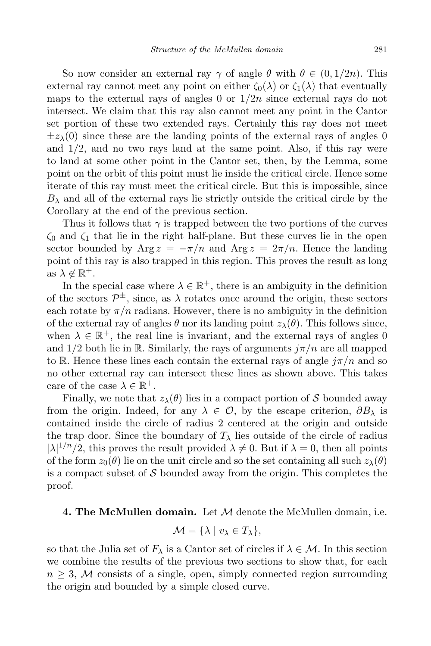So now consider an external ray  $\gamma$  of angle  $\theta$  with  $\theta \in (0, 1/2n)$ . This external ray cannot meet any point on either  $\zeta_0(\lambda)$  or  $\zeta_1(\lambda)$  that eventually maps to the external rays of angles 0 or  $1/2n$  since external rays do not intersect. We claim that this ray also cannot meet any point in the Cantor set portion of these two extended rays. Certainly this ray does not meet  $\pm z_{\lambda}(0)$  since these are the landing points of the external rays of angles 0 and  $1/2$ , and no two rays land at the same point. Also, if this ray were to land at some other point in the Cantor set, then, by the Lemma, some point on the orbit of this point must lie inside the critical circle. Hence some iterate of this ray must meet the critical circle. But this is impossible, since  $B_\lambda$  and all of the external rays lie strictly outside the critical circle by the Corollary at the end of the previous section.

Thus it follows that  $\gamma$  is trapped between the two portions of the curves  $\zeta_0$  and  $\zeta_1$  that lie in the right half-plane. But these curves lie in the open sector bounded by Arg  $z = -\pi/n$  and Arg  $z = 2\pi/n$ . Hence the landing point of this ray is also trapped in this region. This proves the result as long as  $\lambda \notin \mathbb{R}^+$ .

In the special case where  $\lambda \in \mathbb{R}^+$ , there is an ambiguity in the definition of the sectors  $\mathcal{P}^{\pm}$ , since, as  $\lambda$  rotates once around the origin, these sectors each rotate by  $\pi/n$  radians. However, there is no ambiguity in the definition of the external ray of angles  $\theta$  nor its landing point  $z_{\lambda}(\theta)$ . This follows since, when  $\lambda \in \mathbb{R}^+$ , the real line is invariant, and the external rays of angles 0 and  $1/2$  both lie in R. Similarly, the rays of arguments  $j\pi/n$  are all mapped to R. Hence these lines each contain the external rays of angle  $j\pi/n$  and so no other external ray can intersect these lines as shown above. This takes care of the case  $\lambda \in \mathbb{R}^+$ .

Finally, we note that  $z_{\lambda}(\theta)$  lies in a compact portion of S bounded away from the origin. Indeed, for any  $\lambda \in \mathcal{O}$ , by the escape criterion,  $\partial B_{\lambda}$  is contained inside the circle of radius 2 centered at the origin and outside the trap door. Since the boundary of  $T_{\lambda}$  lies outside of the circle of radius  $|\lambda|^{1/n}/2$ , this proves the result provided  $\lambda \neq 0$ . But if  $\lambda = 0$ , then all points of the form  $z_0(\theta)$  lie on the unit circle and so the set containing all such  $z_\lambda(\theta)$ is a compact subset of  $\mathcal S$  bounded away from the origin. This completes the proof.

## **4. The McMullen domain.** Let  $M$  denote the McMullen domain, i.e.

$$
\mathcal{M} = \{ \lambda \mid v_{\lambda} \in T_{\lambda} \},
$$

so that the Julia set of  $F_{\lambda}$  is a Cantor set of circles if  $\lambda \in \mathcal{M}$ . In this section we combine the results of the previous two sections to show that, for each  $n \geq 3$ , M consists of a single, open, simply connected region surrounding the origin and bounded by a simple closed curve.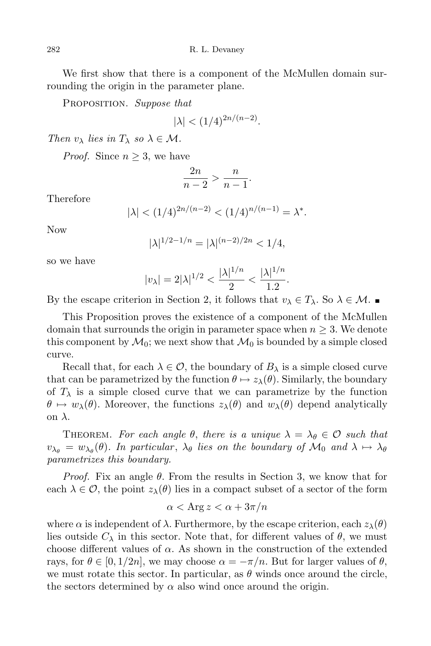We first show that there is a component of the McMullen domain surrounding the origin in the parameter plane.

PROPOSITION. Suppose that

$$
|\lambda| < (1/4)^{2n/(n-2)}.
$$

Then  $v_{\lambda}$  lies in  $T_{\lambda}$  so  $\lambda \in \mathcal{M}$ .

*Proof.* Since  $n \geq 3$ , we have

$$
\frac{2n}{n-2} > \frac{n}{n-1}.
$$

Therefore

$$
|\lambda| < (1/4)^{2n/(n-2)} < (1/4)^{n/(n-1)} = \lambda^*.
$$

Now

$$
|\lambda|^{1/2 - 1/n} = |\lambda|^{(n-2)/2n} < 1/4,
$$

so we have

$$
|v_{\lambda}| = 2|\lambda|^{1/2} < \frac{|\lambda|^{1/n}}{2} < \frac{|\lambda|^{1/n}}{1.2}
$$

.

By the escape criterion in Section 2, it follows that  $v_{\lambda} \in T_{\lambda}$ . So  $\lambda \in \mathcal{M}$ .

This Proposition proves the existence of a component of the McMullen domain that surrounds the origin in parameter space when  $n \geq 3$ . We denote this component by  $\mathcal{M}_0$ ; we next show that  $\mathcal{M}_0$  is bounded by a simple closed curve.

Recall that, for each  $\lambda \in \mathcal{O}$ , the boundary of  $B_{\lambda}$  is a simple closed curve that can be parametrized by the function  $\theta \mapsto z_{\lambda}(\theta)$ . Similarly, the boundary of  $T_{\lambda}$  is a simple closed curve that we can parametrize by the function  $\theta \mapsto w_\lambda(\theta)$ . Moreover, the functions  $z_\lambda(\theta)$  and  $w_\lambda(\theta)$  depend analytically on λ.

THEOREM. For each angle  $\theta$ , there is a unique  $\lambda = \lambda_{\theta} \in \mathcal{O}$  such that  $v_{\lambda_{\theta}} = w_{\lambda_{\theta}}(\theta)$ . In particular,  $\lambda_{\theta}$  lies on the boundary of  $\mathcal{M}_0$  and  $\lambda \mapsto \lambda_{\theta}$ parametrizes this boundary.

*Proof.* Fix an angle  $\theta$ . From the results in Section 3, we know that for each  $\lambda \in \mathcal{O}$ , the point  $z_{\lambda}(\theta)$  lies in a compact subset of a sector of the form

$$
\alpha < \text{Arg } z < \alpha + 3\pi/n
$$

where  $\alpha$  is independent of  $\lambda$ . Furthermore, by the escape criterion, each  $z_{\lambda}(\theta)$ lies outside  $C_{\lambda}$  in this sector. Note that, for different values of  $\theta$ , we must choose different values of  $\alpha$ . As shown in the construction of the extended rays, for  $\theta \in [0, 1/2n]$ , we may choose  $\alpha = -\pi/n$ . But for larger values of  $\theta$ , we must rotate this sector. In particular, as  $\theta$  winds once around the circle, the sectors determined by  $\alpha$  also wind once around the origin.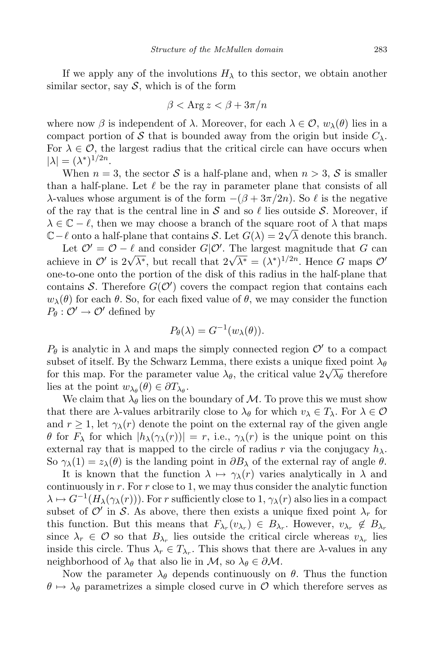If we apply any of the involutions  $H_{\lambda}$  to this sector, we obtain another similar sector, say  $S$ , which is of the form

$$
\beta < \text{Arg } z < \beta + 3\pi/n
$$

where now  $\beta$  is independent of  $\lambda$ . Moreover, for each  $\lambda \in \mathcal{O}$ ,  $w_{\lambda}(\theta)$  lies in a compact portion of S that is bounded away from the origin but inside  $C_{\lambda}$ . For  $\lambda \in \mathcal{O}$ , the largest radius that the critical circle can have occurs when  $|\lambda| = (\lambda^*)^{1/2n}.$ 

When  $n = 3$ , the sector S is a half-plane and, when  $n > 3$ , S is smaller than a half-plane. Let  $\ell$  be the ray in parameter plane that consists of all λ-values whose argument is of the form  $-(β + 3π/2n)$ . So  $ℓ$  is the negative of the ray that is the central line in S and so  $\ell$  lies outside S. Moreover, if  $\lambda \in \mathbb{C} - \ell$ , then we may choose a branch of the square root of  $\lambda$  that maps  $\mathbb{C} - \ell$  onto a half-plane that contains S. Let  $G(\lambda) = 2\sqrt{\lambda}$  denote this branch.

Let  $\mathcal{O}' = \mathcal{O} - \ell$  and consider  $G/\mathcal{O}'$ . The largest magnitude that G can achieve in  $\mathcal{O}'$  is  $2\sqrt{\lambda^*}$ , but recall that  $2\sqrt{\lambda^*} = (\lambda^*)^{1/2n}$ . Hence G maps  $\mathcal{O}'$ one-to-one onto the portion of the disk of this radius in the half-plane that contains S. Therefore  $G(\mathcal{O}')$  covers the compact region that contains each  $w_{\lambda}(\theta)$  for each  $\theta$ . So, for each fixed value of  $\theta$ , we may consider the function  $P_{\theta}: \mathcal{O}' \to \mathcal{O}'$  defined by

$$
P_{\theta}(\lambda) = G^{-1}(w_{\lambda}(\theta)).
$$

 $P_{\theta}$  is analytic in  $\lambda$  and maps the simply connected region  $\mathcal{O}'$  to a compact subset of itself. By the Schwarz Lemma, there exists a unique fixed point  $\lambda_{\theta}$ for this map. For the parameter value  $\lambda_{\theta}$ , the critical value  $2\sqrt{\lambda_{\theta}}$  therefore lies at the point  $w_{\lambda_{\theta}}(\theta) \in \partial T_{\lambda_{\theta}}$ .

We claim that  $\lambda_{\theta}$  lies on the boundary of M. To prove this we must show that there are  $\lambda$ -values arbitrarily close to  $\lambda_{\theta}$  for which  $v_{\lambda} \in T_{\lambda}$ . For  $\lambda \in \mathcal{O}$ and  $r \geq 1$ , let  $\gamma_{\lambda}(r)$  denote the point on the external ray of the given angle θ for  $F_\lambda$  for which  $|h_\lambda(\gamma_\lambda(r))| = r$ , i.e.,  $\gamma_\lambda(r)$  is the unique point on this external ray that is mapped to the circle of radius r via the conjugacy  $h_{\lambda}$ . So  $\gamma_{\lambda}(1) = z_{\lambda}(\theta)$  is the landing point in  $\partial B_{\lambda}$  of the external ray of angle  $\theta$ .

It is known that the function  $\lambda \mapsto \gamma_\lambda(r)$  varies analytically in  $\lambda$  and continuously in r. For r close to 1, we may thus consider the analytic function  $\lambda \mapsto G^{-1}(H_{\lambda}(\gamma_{\lambda}(r)))$ . For r sufficiently close to 1,  $\gamma_{\lambda}(r)$  also lies in a compact subset of  $\mathcal{O}'$  in S. As above, there then exists a unique fixed point  $\lambda_r$  for this function. But this means that  $F_{\lambda_r}(v_{\lambda_r}) \in B_{\lambda_r}$ . However,  $v_{\lambda_r} \notin B_{\lambda_r}$ since  $\lambda_r \in \mathcal{O}$  so that  $B_{\lambda_r}$  lies outside the critical circle whereas  $v_{\lambda_r}$  lies inside this circle. Thus  $\lambda_r \in T_{\lambda_r}$ . This shows that there are  $\lambda$ -values in any neighborhood of  $\lambda_{\theta}$  that also lie in M, so  $\lambda_{\theta} \in \partial \mathcal{M}$ .

Now the parameter  $\lambda_{\theta}$  depends continuously on  $\theta$ . Thus the function  $\theta \mapsto \lambda_{\theta}$  parametrizes a simple closed curve in O which therefore serves as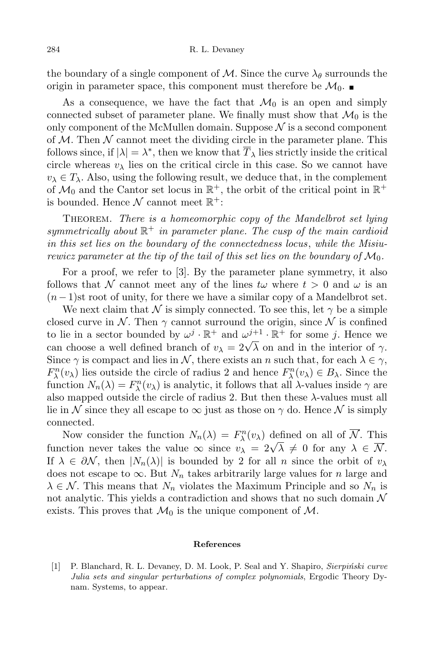the boundary of a single component of M. Since the curve  $\lambda_{\theta}$  surrounds the origin in parameter space, this component must therefore be  $\mathcal{M}_0$ .

As a consequence, we have the fact that  $\mathcal{M}_0$  is an open and simply connected subset of parameter plane. We finally must show that  $\mathcal{M}_0$  is the only component of the McMullen domain. Suppose  $\mathcal N$  is a second component of  $M$ . Then  $N$  cannot meet the dividing circle in the parameter plane. This follows since, if  $|\lambda| = \lambda^*$ , then we know that  $\overline{T}_{\lambda}$  lies strictly inside the critical circle whereas  $v_{\lambda}$  lies on the critical circle in this case. So we cannot have  $v_{\lambda} \in T_{\lambda}$ . Also, using the following result, we deduce that, in the complement of  $\mathcal{M}_0$  and the Cantor set locus in  $\mathbb{R}^+$ , the orbit of the critical point in  $\mathbb{R}^+$ is bounded. Hence  $\mathcal N$  cannot meet  $\mathbb R^+$ :

THEOREM. There is a homeomorphic copy of the Mandelbrot set lying symmetrically about  $\mathbb{R}^+$  in parameter plane. The cusp of the main cardioid in this set lies on the boundary of the connectedness locus, while the Misiurewicz parameter at the tip of the tail of this set lies on the boundary of  $\mathcal{M}_0$ .

For a proof, we refer to [3]. By the parameter plane symmetry, it also follows that N cannot meet any of the lines  $t\omega$  where  $t > 0$  and  $\omega$  is an  $(n-1)$ st root of unity, for there we have a similar copy of a Mandelbrot set.

We next claim that N is simply connected. To see this, let  $\gamma$  be a simple closed curve in N. Then  $\gamma$  cannot surround the origin, since N is confined to lie in a sector bounded by  $\omega^j \cdot \mathbb{R}^+$  and  $\omega^{j+1} \cdot \mathbb{R}^+$  for some j. Hence we can choose a well defined branch of  $v_{\lambda} = 2\sqrt{\lambda}$  on and in the interior of  $\gamma$ . Since  $\gamma$  is compact and lies in N, there exists an n such that, for each  $\lambda \in \gamma$ ,  $F^n_\lambda(v_\lambda)$  lies outside the circle of radius 2 and hence  $F^n_\lambda(v_\lambda) \in B_\lambda$ . Since the function  $N_n(\lambda) = F_{\lambda}^n(v_{\lambda})$  is analytic, it follows that all  $\lambda$ -values inside  $\gamma$  are also mapped outside the circle of radius 2. But then these λ-values must all lie in N since they all escape to  $\infty$  just as those on  $\gamma$  do. Hence N is simply connected.

Now consider the function  $N_n(\lambda) = F^n_{\lambda}(v_{\lambda})$  defined on all of  $\overline{\mathcal{N}}$ . This function never takes the value  $\infty$  since  $v_{\lambda} = 2\sqrt{\lambda} \neq 0$  for any  $\lambda \in \overline{\mathcal{N}}$ . If  $\lambda \in \partial \mathcal{N}$ , then  $|N_n(\lambda)|$  is bounded by 2 for all n since the orbit of  $v_\lambda$ does not escape to  $\infty$ . But  $N_n$  takes arbitrarily large values for n large and  $\lambda \in \mathcal{N}$ . This means that  $N_n$  violates the Maximum Principle and so  $N_n$  is not analytic. This yields a contradiction and shows that no such domain  $\mathcal N$ exists. This proves that  $\mathcal{M}_0$  is the unique component of  $\mathcal{M}$ .

## References

[1] P. Blanchard, R. L. Devaney, D. M. Look, P. Seal and Y. Shapiro, Sierpiński curve Julia sets and singular perturbations of complex polynomials, Ergodic Theory Dynam. Systems, to appear.